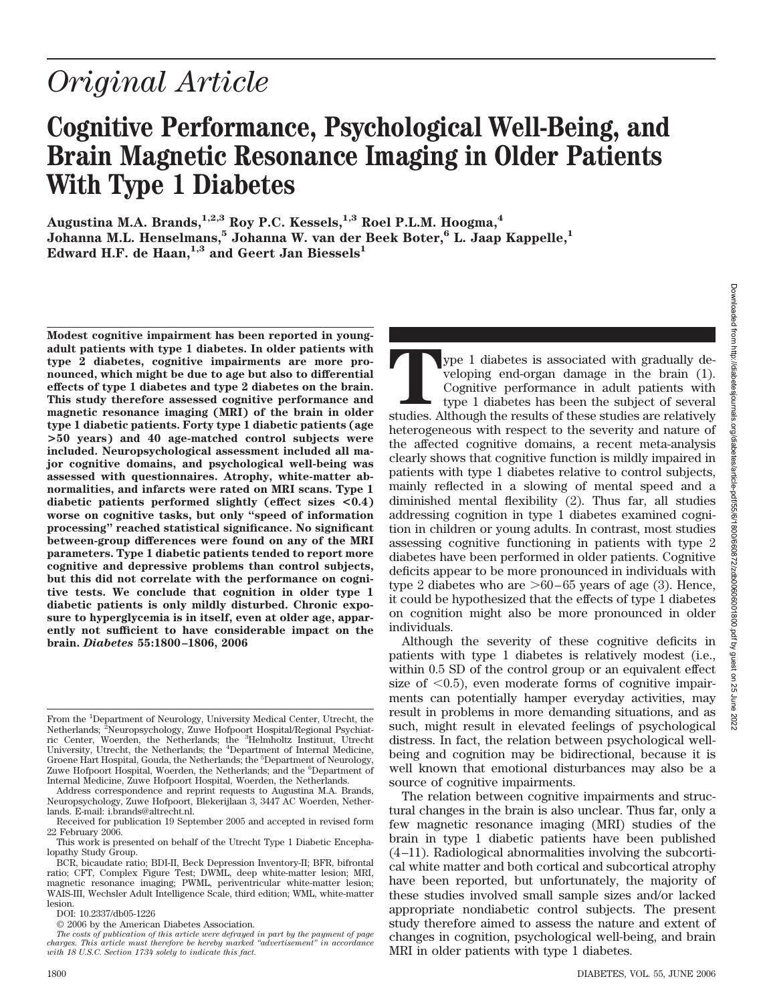# *Original Article*

## **Cognitive Performance, Psychological Well-Being, and Brain Magnetic Resonance Imaging in Older Patients With Type 1 Diabetes**

Augustina M.A. Brands,<sup>1,2,3</sup> Roy P.C. Kessels,<sup>1,3</sup> Roel P.L.M. Hoogma,<sup>4</sup> **Johanna M.L. Henselmans,5 Johanna W. van der Beek Boter,6 L. Jaap Kappelle,1** Edward H.F. de Haan,<sup>1,3</sup> and Geert Jan Biessels<sup>1</sup>

**Modest cognitive impairment has been reported in youngadult patients with type 1 diabetes. In older patients with type 2 diabetes, cognitive impairments are more pronounced, which might be due to age but also to differential effects of type 1 diabetes and type 2 diabetes on the brain. This study therefore assessed cognitive performance and magnetic resonance imaging (MRI) of the brain in older type 1 diabetic patients. Forty type 1 diabetic patients (age >50 years) and 40 age-matched control subjects were included. Neuropsychological assessment included all major cognitive domains, and psychological well-being was assessed with questionnaires. Atrophy, white-matter abnormalities, and infarcts were rated on MRI scans. Type 1 diabetic patients performed slightly (effect sizes <0.4) worse on cognitive tasks, but only "speed of information processing" reached statistical significance. No significant between-group differences were found on any of the MRI parameters. Type 1 diabetic patients tended to report more cognitive and depressive problems than control subjects, but this did not correlate with the performance on cognitive tests. We conclude that cognition in older type 1 diabetic patients is only mildly disturbed. Chronic exposure to hyperglycemia is in itself, even at older age, apparently not sufficient to have considerable impact on the brain.** *Diabetes* **55:1800–1806, 2006**

ype 1 diabetes is associated with gradually developing end-organ damage in the brain (1). Cognitive performance in adult patients with type 1 diabetes has been the subject of several studies. Although the results of these studies are relatively heterogeneous with respect to the severity and nature of the affected cognitive domains, a recent meta-analysis clearly shows that cognitive function is mildly impaired in patients with type 1 diabetes relative to control subjects, mainly reflected in a slowing of mental speed and a diminished mental flexibility (2). Thus far, all studies addressing cognition in type 1 diabetes examined cognition in children or young adults. In contrast, most studies assessing cognitive functioning in patients with type 2 diabetes have been performed in older patients. Cognitive deficits appear to be more pronounced in individuals with type 2 diabetes who are  $>60-65$  years of age (3). Hence, it could be hypothesized that the effects of type 1 diabetes on cognition might also be more pronounced in older individuals.

Although the severity of these cognitive deficits in patients with type 1 diabetes is relatively modest (i.e., within 0.5 SD of the control group or an equivalent effect size of  $\langle 0.5 \rangle$ , even moderate forms of cognitive impairments can potentially hamper everyday activities, may result in problems in more demanding situations, and as such, might result in elevated feelings of psychological distress. In fact, the relation between psychological wellbeing and cognition may be bidirectional, because it is well known that emotional disturbances may also be a source of cognitive impairments.

The relation between cognitive impairments and structural changes in the brain is also unclear. Thus far, only a few magnetic resonance imaging (MRI) studies of the brain in type 1 diabetic patients have been published (4 –11). Radiological abnormalities involving the subcortical white matter and both cortical and subcortical atrophy have been reported, but unfortunately, the majority of these studies involved small sample sizes and/or lacked appropriate nondiabetic control subjects. The present study therefore aimed to assess the nature and extent of changes in cognition, psychological well-being, and brain MRI in older patients with type 1 diabetes.

From the <sup>1</sup>Department of Neurology, University Medical Center, Utrecht, the Netherlands; <sup>2</sup>Neuropsychology, Zuwe Hofpoort Hospital/Regional Psychiat-<br>ric Center, Woerden, the Netherlands; the <sup>3</sup>Helmholtz Instituut, Utrecht University, Utrecht, the Netherlands; the <sup>4</sup>Department of Internal Medicine, Groene Hart Hospital, Gouda, the Netherlands; the <sup>5</sup>Department of Neurology, Zuwe Hofpoort Hospital, Woerden, the Netherlands; and the <sup>6</sup>Department of Internal Medicine, Zuwe Hofpoort Hospital, Woerden, the Netherlands.

Address correspondence and reprint requests to Augustina M.A. Brands, Neuropsychology, Zuwe Hofpoort, Blekerijlaan 3, 3447 AC Woerden, Netherlands. E-mail: i.brands@altrecht.nl.

Received for publication 19 September 2005 and accepted in revised form 22 February 2006.

This work is presented on behalf of the Utrecht Type 1 Diabetic Encephalopathy Study Group.

BCR, bicaudate ratio; BDI-II, Beck Depression Inventory-II; BFR, bifrontal ratio; CFT, Complex Figure Test; DWML, deep white-matter lesion; MRI, magnetic resonance imaging; PWML, periventricular white-matter lesion; WAIS-III, Wechsler Adult Intelligence Scale, third edition; WML, white-matter lesion.

DOI: 10.2337/db05-1226

<sup>© 2006</sup> by the American Diabetes Association.

*The costs of publication of this article were defrayed in part by the payment of page charges. This article must therefore be hereby marked "advertisement" in accordance with 18 U.S.C. Section 1734 solely to indicate this fact.*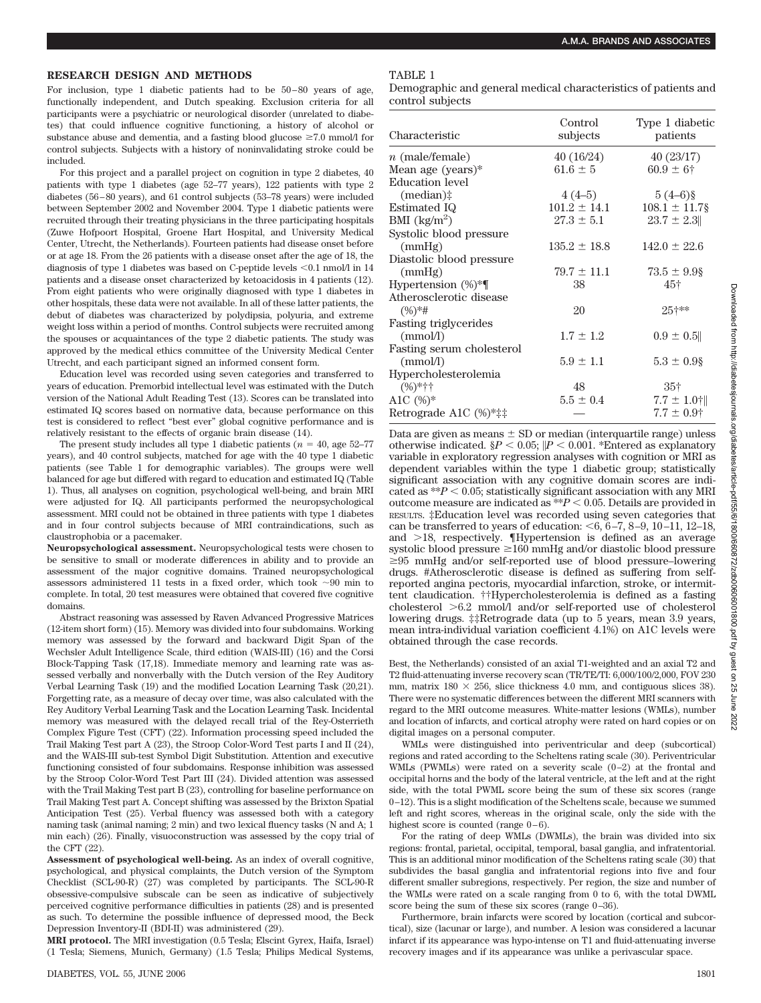#### **RESEARCH DESIGN AND METHODS**

For inclusion, type 1 diabetic patients had to be 50 – 80 years of age, functionally independent, and Dutch speaking. Exclusion criteria for all participants were a psychiatric or neurological disorder (unrelated to diabetes) that could influence cognitive functioning, a history of alcohol or substance abuse and dementia, and a fasting blood glucose  $\geq 7.0$  mmol/l for control subjects. Subjects with a history of noninvalidating stroke could be included.

For this project and a parallel project on cognition in type 2 diabetes, 40 patients with type 1 diabetes (age 52–77 years), 122 patients with type 2 diabetes (56 – 80 years), and 61 control subjects (53–78 years) were included between September 2002 and November 2004. Type 1 diabetic patients were recruited through their treating physicians in the three participating hospitals (Zuwe Hofpoort Hospital, Groene Hart Hospital, and University Medical Center, Utrecht, the Netherlands). Fourteen patients had disease onset before or at age 18. From the 26 patients with a disease onset after the age of 18, the diagnosis of type 1 diabetes was based on C-peptide levels <0.1 nmol/l in 14 patients and a disease onset characterized by ketoacidosis in 4 patients (12). From eight patients who were originally diagnosed with type 1 diabetes in other hospitals, these data were not available. In all of these latter patients, the debut of diabetes was characterized by polydipsia, polyuria, and extreme weight loss within a period of months. Control subjects were recruited among the spouses or acquaintances of the type 2 diabetic patients. The study was approved by the medical ethics committee of the University Medical Center Utrecht, and each participant signed an informed consent form.

Education level was recorded using seven categories and transferred to years of education. Premorbid intellectual level was estimated with the Dutch version of the National Adult Reading Test (13). Scores can be translated into estimated IQ scores based on normative data, because performance on this test is considered to reflect "best ever" global cognitive performance and is relatively resistant to the effects of organic brain disease (14).

The present study includes all type 1 diabetic patients ( $n = 40$ , age 52–77 years), and 40 control subjects, matched for age with the 40 type 1 diabetic patients (see Table 1 for demographic variables). The groups were well balanced for age but differed with regard to education and estimated IQ (Table 1). Thus, all analyses on cognition, psychological well-being, and brain MRI were adjusted for IQ. All participants performed the neuropsychological assessment. MRI could not be obtained in three patients with type 1 diabetes and in four control subjects because of MRI contraindications, such as claustrophobia or a pacemaker.

**Neuropsychological assessment.** Neuropsychological tests were chosen to be sensitive to small or moderate differences in ability and to provide an assessment of the major cognitive domains. Trained neuropsychological assessors administered 11 tests in a fixed order, which took  $\sim 90$  min to complete. In total, 20 test measures were obtained that covered five cognitive domains.

Abstract reasoning was assessed by Raven Advanced Progressive Matrices (12-item short form) (15). Memory was divided into four subdomains. Working memory was assessed by the forward and backward Digit Span of the Wechsler Adult Intelligence Scale, third edition (WAIS-III) (16) and the Corsi Block-Tapping Task (17,18). Immediate memory and learning rate was assessed verbally and nonverbally with the Dutch version of the Rey Auditory Verbal Learning Task (19) and the modified Location Learning Task (20,21). Forgetting rate, as a measure of decay over time, was also calculated with the Rey Auditory Verbal Learning Task and the Location Learning Task. Incidental memory was measured with the delayed recall trial of the Rey-Osterrieth Complex Figure Test (CFT) (22). Information processing speed included the Trail Making Test part A (23), the Stroop Color-Word Test parts I and II (24), and the WAIS-III sub-test Symbol Digit Substitution. Attention and executive functioning consisted of four subdomains. Response inhibition was assessed by the Stroop Color-Word Test Part III (24). Divided attention was assessed with the Trail Making Test part B (23), controlling for baseline performance on Trail Making Test part A. Concept shifting was assessed by the Brixton Spatial Anticipation Test (25). Verbal fluency was assessed both with a category naming task (animal naming; 2 min) and two lexical fluency tasks (N and A; 1 min each) (26). Finally, visuoconstruction was assessed by the copy trial of the CFT (22).

**Assessment of psychological well-being.** As an index of overall cognitive, psychological, and physical complaints, the Dutch version of the Symptom Checklist (SCL-90-R) (27) was completed by participants. The SCL-90-R obsessive-compulsive subscale can be seen as indicative of subjectively perceived cognitive performance difficulties in patients (28) and is presented as such. To determine the possible influence of depressed mood, the Beck Depression Inventory-II (BDI-II) was administered (29).

**MRI protocol.** The MRI investigation (0.5 Tesla; Elscint Gyrex, Haifa, Israel) (1 Tesla; Siemens, Munich, Germany) (1.5 Tesla; Philips Medical Systems, Demographic and general medical characteristics of patients and control subjects

| Characteristic                   | Control<br>subjects | Type 1 diabetic<br>patients |
|----------------------------------|---------------------|-----------------------------|
| $n \pmod{m}$                     | 40 (16/24)          | 40(23/17)                   |
| Mean age (years)*                | $61.6 \pm 5$        | $60.9 \pm 6$ †              |
| <b>Education</b> level           |                     |                             |
| $(median)$ :                     | $4(4-5)$            | $5(4-6)\$                   |
| Estimated IQ                     | $101.2 \pm 14.1$    | $108.1 \pm 11.7$ §          |
| BMI $\left({\rm kg/m^2}\right)$  | $27.3 \pm 5.1$      | $23.7 \pm 2.3$              |
| Systolic blood pressure          |                     |                             |
| (mmHg)                           | $135.2 \pm 18.8$    | $142.0 \pm 22.6$            |
| Diastolic blood pressure         |                     |                             |
| (mmHg)                           | $79.7 \pm 11.1$     | $73.5 \pm 9.9$ \$           |
| Hypertension (%)*¶               | 38                  | 45†                         |
| Atherosclerotic disease          |                     |                             |
| $(\%)$ *#                        | 20                  | 25+**                       |
| Fasting triglycerides            |                     |                             |
| (mmol/l)                         | $1.7 \pm 1.2$       | $0.9 \pm 0.5$               |
| <b>Fasting serum cholesterol</b> |                     |                             |
| (mmol/l)                         | $5.9 \pm 1.1$       | $5.3 \pm 0.9$ §             |
| Hypercholesterolemia             |                     |                             |
| $(%)$ *††                        | 48                  | $35+$                       |
| A1C $(\%)^*$                     | $5.5 \pm 0.4$       | $7.7 \pm 1.0$ †             |
| Retrograde A1C (%)*‡‡            |                     | $7.7 \pm 0.9$ †             |

Data are given as means  $\pm$  SD or median (interquartile range) unless otherwise indicated.  $P < 0.05$ ;  $|P < 0.001$ . \*Entered as explanatory variable in exploratory regression analyses with cognition or MRI as dependent variables within the type 1 diabetic group; statistically significant association with any cognitive domain scores are indicated as  $**P < 0.05$ ; statistically significant association with any MRI outcome measure are indicated as  $**P < 0.05$ . Details are provided in RESULTS. ‡Education level was recorded using seven categories that can be transferred to years of education:  $\leq 6$ ,  $6-7$ ,  $8-9$ ,  $10-11$ ,  $12-18$ , and  $>18$ , respectively.  $\P$ Hypertension is defined as an average systolic blood pressure  $\geq 160$  mmHg and/or diastolic blood pressure  $\geq 95$  mmHg and/or self-reported use of blood pressure–lowering drugs. #Atherosclerotic disease is defined as suffering from selfreported angina pectoris, myocardial infarction, stroke, or intermittent claudication. ††Hypercholesterolemia is defined as a fasting cholesterol 6.2 mmol/l and/or self-reported use of cholesterol lowering drugs. ‡‡Retrograde data (up to 5 years, mean 3.9 years, mean intra-individual variation coefficient 4.1%) on A1C levels were obtained through the case records.

Best, the Netherlands) consisted of an axial T1-weighted and an axial T2 and T2 fluid-attenuating inverse recovery scan (TR/TE/TI: 6,000/100/2,000, FOV 230 mm, matrix  $180 \times 256$ , slice thickness 4.0 mm, and contiguous slices 38). There were no systematic differences between the different MRI scanners with regard to the MRI outcome measures. White-matter lesions (WMLs), number and location of infarcts, and cortical atrophy were rated on hard copies or on digital images on a personal computer.

WMLs were distinguished into periventricular and deep (subcortical) regions and rated according to the Scheltens rating scale (30). Periventricular WMLs (PWMLs) were rated on a severity scale  $(0-2)$  at the frontal and occipital horns and the body of the lateral ventricle, at the left and at the right side, with the total PWML score being the sum of these six scores (range 0 –12). This is a slight modification of the Scheltens scale, because we summed left and right scores, whereas in the original scale, only the side with the highest score is counted (range  $0-6$ ).

For the rating of deep WMLs (DWMLs), the brain was divided into six regions: frontal, parietal, occipital, temporal, basal ganglia, and infratentorial. This is an additional minor modification of the Scheltens rating scale (30) that subdivides the basal ganglia and infratentorial regions into five and four different smaller subregions, respectively. Per region, the size and number of the WMLs were rated on a scale ranging from 0 to 6, with the total DWML score being the sum of these six scores (range 0-36).

Furthermore, brain infarcts were scored by location (cortical and subcortical), size (lacunar or large), and number. A lesion was considered a lacunar infarct if its appearance was hypo-intense on T1 and fluid-attenuating inverse recovery images and if its appearance was unlike a perivascular space.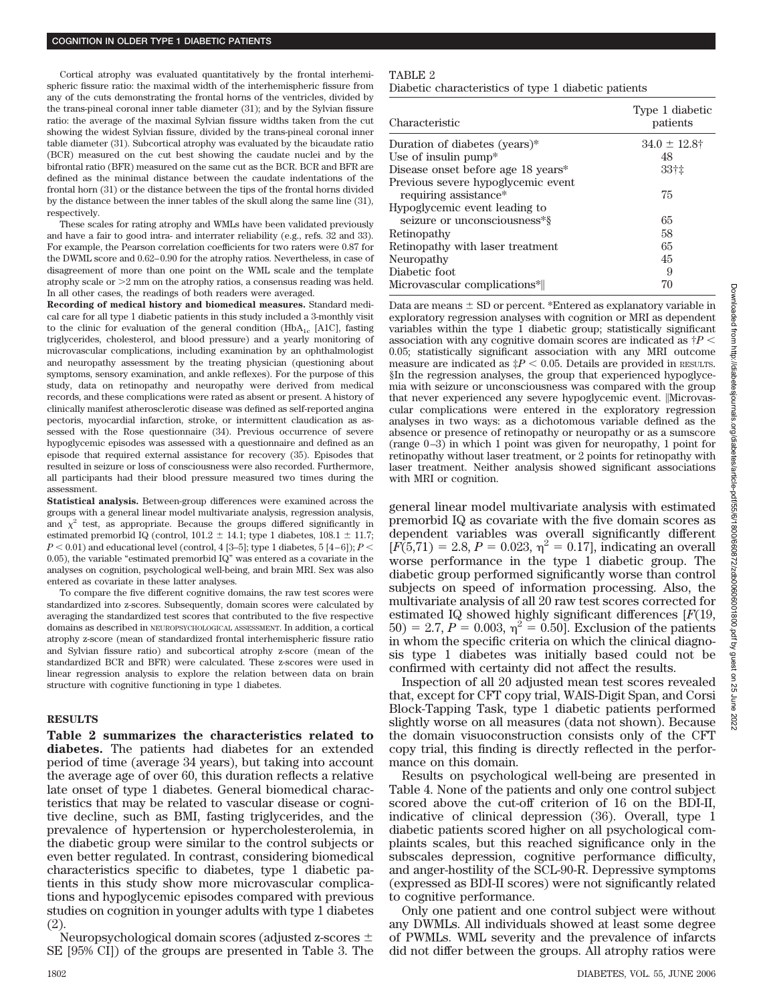Cortical atrophy was evaluated quantitatively by the frontal interhemispheric fissure ratio: the maximal width of the interhemispheric fissure from any of the cuts demonstrating the frontal horns of the ventricles, divided by the trans-pineal coronal inner table diameter (31); and by the Sylvian fissure ratio: the average of the maximal Sylvian fissure widths taken from the cut showing the widest Sylvian fissure, divided by the trans-pineal coronal inner table diameter (31). Subcortical atrophy was evaluated by the bicaudate ratio (BCR) measured on the cut best showing the caudate nuclei and by the bifrontal ratio (BFR) measured on the same cut as the BCR. BCR and BFR are defined as the minimal distance between the caudate indentations of the frontal horn (31) or the distance between the tips of the frontal horns divided by the distance between the inner tables of the skull along the same line (31), respectively.

These scales for rating atrophy and WMLs have been validated previously and have a fair to good intra- and interrater reliability (e.g., refs. 32 and 33). For example, the Pearson correlation coefficients for two raters were 0.87 for the DWML score and 0.62– 0.90 for the atrophy ratios. Nevertheless, in case of disagreement of more than one point on the WML scale and the template atrophy scale or  $>2$  mm on the atrophy ratios, a consensus reading was held. In all other cases, the readings of both readers were averaged.

**Recording of medical history and biomedical measures.** Standard medical care for all type 1 diabetic patients in this study included a 3-monthly visit to the clinic for evaluation of the general condition (HbA<sub>1c</sub> [A1C], fasting triglycerides, cholesterol, and blood pressure) and a yearly monitoring of microvascular complications, including examination by an ophthalmologist and neuropathy assessment by the treating physician (questioning about symptoms, sensory examination, and ankle reflexes). For the purpose of this study, data on retinopathy and neuropathy were derived from medical records, and these complications were rated as absent or present. A history of clinically manifest atherosclerotic disease was defined as self-reported angina pectoris, myocardial infarction, stroke, or intermittent claudication as assessed with the Rose questionnaire (34). Previous occurrence of severe hypoglycemic episodes was assessed with a questionnaire and defined as an episode that required external assistance for recovery (35). Episodes that resulted in seizure or loss of consciousness were also recorded. Furthermore, all participants had their blood pressure measured two times during the assessment.

**Statistical analysis.** Between-group differences were examined across the groups with a general linear model multivariate analysis, regression analysis, and  $\chi^2$  test, as appropriate. Because the groups differed significantly in estimated premorbid IQ (control,  $101.2 \pm 14.1$ ; type 1 diabetes,  $108.1 \pm 11.7$ ;  $P < 0.01$ ) and educational level (control, 4 [3-5]; type 1 diabetes, 5 [4-6]);  $P <$ 0.05), the variable "estimated premorbid IQ" was entered as a covariate in the analyses on cognition, psychological well-being, and brain MRI. Sex was also entered as covariate in these latter analyses.

To compare the five different cognitive domains, the raw test scores were standardized into z-scores. Subsequently, domain scores were calculated by averaging the standardized test scores that contributed to the five respective domains as described in NEUROPSYCHOLOGICAL ASSESSMENT. In addition, a cortical atrophy z-score (mean of standardized frontal interhemispheric fissure ratio and Sylvian fissure ratio) and subcortical atrophy z-score (mean of the standardized BCR and BFR) were calculated. These z-scores were used in linear regression analysis to explore the relation between data on brain structure with cognitive functioning in type 1 diabetes.

## **RESULTS**

**Table 2 summarizes the characteristics related to diabetes.** The patients had diabetes for an extended period of time (average 34 years), but taking into account the average age of over 60, this duration reflects a relative late onset of type 1 diabetes. General biomedical characteristics that may be related to vascular disease or cognitive decline, such as BMI, fasting triglycerides, and the prevalence of hypertension or hypercholesterolemia, in the diabetic group were similar to the control subjects or even better regulated. In contrast, considering biomedical characteristics specific to diabetes, type 1 diabetic patients in this study show more microvascular complications and hypoglycemic episodes compared with previous studies on cognition in younger adults with type 1 diabetes (2).

Neuropsychological domain scores (adjusted z-scores SE [95% CI]) of the groups are presented in Table 3. The

### TABLE 2

Diabetic characteristics of type 1 diabetic patients

| Characteristic                                              | Type 1 diabetic<br>patients |
|-------------------------------------------------------------|-----------------------------|
| Duration of diabetes (years)*                               | $34.0 \pm 12.8^{\dagger}$   |
| Use of insulin pump $*$                                     | 48                          |
| Disease onset before age 18 years*                          | 33†‡                        |
| Previous severe hypoglycemic event<br>requiring assistance* | 75                          |
| Hypoglycemic event leading to                               |                             |
| seizure or unconsciousness*§                                | 65                          |
| Retinopathy                                                 | 58                          |
| Retinopathy with laser treatment                            | 65                          |
| Neuropathy                                                  | 45                          |
| Diabetic foot                                               | 9                           |
| Microvascular complications*                                | 70                          |

Data are means  $\pm$  SD or percent. \*Entered as explanatory variable in exploratory regression analyses with cognition or MRI as dependent variables within the type 1 diabetic group; statistically significant association with any cognitive domain scores are indicated as  $\dagger P$  < 0.05; statistically significant association with any MRI outcome measure are indicated as  $\ddagger P < 0.05$ . Details are provided in RESULTS. §In the regression analyses, the group that experienced hypoglycemia with seizure or unconsciousness was compared with the group that never experienced any severe hypoglycemic event. |Microvascular complications were entered in the exploratory regression analyses in two ways: as a dichotomous variable defined as the absence or presence of retinopathy or neuropathy or as a sumscore (range 0 –3) in which 1 point was given for neuropathy, 1 point for retinopathy without laser treatment, or 2 points for retinopathy with laser treatment. Neither analysis showed significant associations with MRI or cognition.

general linear model multivariate analysis with estimated premorbid IQ as covariate with the five domain scores as dependent variables was overall significantly different  $[F(5,71) = 2.8, P = 0.023, \eta^2 = 0.17]$ , indicating an overall worse performance in the type 1 diabetic group. The diabetic group performed significantly worse than control subjects on speed of information processing. Also, the multivariate analysis of all 20 raw test scores corrected for estimated IQ showed highly significant differences [*F*(19,  $50$ ) = 2.7, *P* = 0.003,  $\eta^2$  = 0.50]. Exclusion of the patients in whom the specific criteria on which the clinical diagnosis type 1 diabetes was initially based could not be confirmed with certainty did not affect the results.

Inspection of all 20 adjusted mean test scores revealed that, except for CFT copy trial, WAIS-Digit Span, and Corsi Block-Tapping Task, type 1 diabetic patients performed slightly worse on all measures (data not shown). Because the domain visuoconstruction consists only of the CFT copy trial, this finding is directly reflected in the performance on this domain.

Results on psychological well-being are presented in Table 4. None of the patients and only one control subject scored above the cut-off criterion of 16 on the BDI-II, indicative of clinical depression (36). Overall, type 1 diabetic patients scored higher on all psychological complaints scales, but this reached significance only in the subscales depression, cognitive performance difficulty, and anger-hostility of the SCL-90-R. Depressive symptoms (expressed as BDI-II scores) were not significantly related to cognitive performance.

Only one patient and one control subject were without any DWMLs. All individuals showed at least some degree of PWMLs. WML severity and the prevalence of infarcts did not differ between the groups. All atrophy ratios were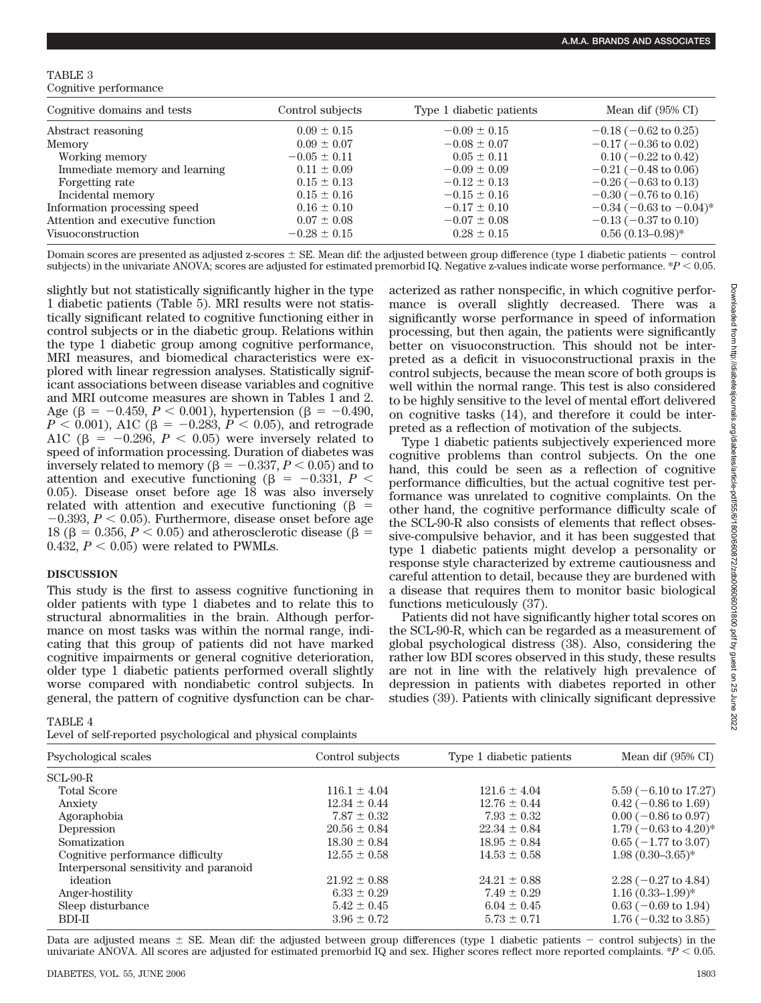TABLE 3 Cognitive performance

| Cognitive domains and tests      | Control subjects | Type 1 diabetic patients | Mean dif $(95\% \text{ CI})$    |
|----------------------------------|------------------|--------------------------|---------------------------------|
| Abstract reasoning               | $0.09 \pm 0.15$  | $-0.09 \pm 0.15$         | $-0.18$ ( $-0.62$ to 0.25)      |
| Memory                           | $0.09 \pm 0.07$  | $-0.08 \pm 0.07$         | $-0.17$ ( $-0.36$ to 0.02)      |
| Working memory                   | $-0.05 \pm 0.11$ | $0.05 \pm 0.11$          | $0.10$ (-0.22 to 0.42)          |
| Immediate memory and learning    | $0.11 \pm 0.09$  | $-0.09 \pm 0.09$         | $-0.21$ ( $-0.48$ to 0.06)      |
| Forgetting rate                  | $0.15 \pm 0.13$  | $-0.12 \pm 0.13$         | $-0.26$ ( $-0.63$ to 0.13)      |
| Incidental memory                | $0.15 \pm 0.16$  | $-0.15 \pm 0.16$         | $-0.30$ ( $-0.76$ to 0.16)      |
| Information processing speed     | $0.16 \pm 0.10$  | $-0.17 \pm 0.10$         | $-0.34$ ( $-0.63$ to $-0.04$ )* |
| Attention and executive function | $0.07 \pm 0.08$  | $-0.07 \pm 0.08$         | $-0.13$ ( $-0.37$ to 0.10)      |
| Visuoconstruction                | $-0.28 \pm 0.15$ | $0.28 \pm 0.15$          | $0.56(0.13-0.98)$ *             |

Domain scores are presented as adjusted z-scores  $\pm$  SE. Mean dif: the adjusted between group difference (type 1 diabetic patients  $-$  control subjects) in the univariate ANOVA; scores are adjusted for estimated premorbid IQ. Negative z-values indicate worse performance.  $P < 0.05$ .

slightly but not statistically significantly higher in the type 1 diabetic patients (Table 5). MRI results were not statistically significant related to cognitive functioning either in control subjects or in the diabetic group. Relations within the type 1 diabetic group among cognitive performance, MRI measures, and biomedical characteristics were explored with linear regression analyses. Statistically significant associations between disease variables and cognitive and MRI outcome measures are shown in Tables 1 and 2. Age ( $\beta = -0.459, P < 0.001$ ), hypertension ( $\beta = -0.490$ ,  $P < 0.001$ ), A1C ( $\beta = -0.283, P < 0.05$ ), and retrograde A1C ( $\beta$  = -0.296,  $P < 0.05$ ) were inversely related to speed of information processing. Duration of diabetes was inversely related to memory ( $\beta = -0.337, P < 0.05$ ) and to attention and executive functioning ( $\beta$  = -0.331, *P* < 0.05). Disease onset before age 18 was also inversely related with attention and executive functioning  $(\beta =$  $-0.393, P < 0.05$ ). Furthermore, disease onset before age 18 ( $\beta$  = 0.356, *P* < 0.05) and atherosclerotic disease ( $\beta$  = 0.432,  $P < 0.05$ ) were related to PWMLs.

### **DISCUSSION**

This study is the first to assess cognitive functioning in older patients with type 1 diabetes and to relate this to structural abnormalities in the brain. Although performance on most tasks was within the normal range, indicating that this group of patients did not have marked cognitive impairments or general cognitive deterioration, older type 1 diabetic patients performed overall slightly worse compared with nondiabetic control subjects. In general, the pattern of cognitive dysfunction can be characterized as rather nonspecific, in which cognitive performance is overall slightly decreased. There was a significantly worse performance in speed of information processing, but then again, the patients were significantly better on visuoconstruction. This should not be interpreted as a deficit in visuoconstructional praxis in the control subjects, because the mean score of both groups is well within the normal range. This test is also considered to be highly sensitive to the level of mental effort delivered on cognitive tasks (14), and therefore it could be interpreted as a reflection of motivation of the subjects.

Type 1 diabetic patients subjectively experienced more cognitive problems than control subjects. On the one hand, this could be seen as a reflection of cognitive performance difficulties, but the actual cognitive test performance was unrelated to cognitive complaints. On the other hand, the cognitive performance difficulty scale of the SCL-90-R also consists of elements that reflect obsessive-compulsive behavior, and it has been suggested that type 1 diabetic patients might develop a personality or response style characterized by extreme cautiousness and careful attention to detail, because they are burdened with a disease that requires them to monitor basic biological functions meticulously (37).

Patients did not have significantly higher total scores on the SCL-90-R, which can be regarded as a measurement of global psychological distress (38). Also, considering the rather low BDI scores observed in this study, these results are not in line with the relatively high prevalence of depression in patients with diabetes reported in other studies (39). Patients with clinically significant depressive

TABLE 4

Level of self-reported psychological and physical complaints

| Psychological scales                   | Control subjects | Type 1 diabetic patients | Mean dif $(95\% \text{ CI})$     |
|----------------------------------------|------------------|--------------------------|----------------------------------|
| $SCL-90-R$                             |                  |                          |                                  |
| <b>Total Score</b>                     | $116.1 \pm 4.04$ | $121.6 \pm 4.04$         | $5.59$ (-6.10 to 17.27)          |
| Anxiety                                | $12.34 \pm 0.44$ | $12.76 \pm 0.44$         | $0.42$ (-0.86 to 1.69)           |
| Agoraphobia                            | $7.87 \pm 0.32$  | $7.93 \pm 0.32$          | $0.00$ ( $-0.86$ to 0.97)        |
| Depression                             | $20.56 \pm 0.84$ | $22.34 \pm 0.84$         | $1.79(-0.63 \text{ to } 4.20)^*$ |
| Somatization                           | $18.30 \pm 0.84$ | $18.95 \pm 0.84$         | $0.65$ ( $-1.77$ to 3.07)        |
| Cognitive performance difficulty       | $12.55 \pm 0.58$ | $14.53 \pm 0.58$         | $1.98(0.30-3.65)*$               |
| Interpersonal sensitivity and paranoid |                  |                          |                                  |
| ideation                               | $21.92 \pm 0.88$ | $24.21 \pm 0.88$         | $2.28(-0.27 \text{ to } 4.84)$   |
| Anger-hostility                        | $6.33 \pm 0.29$  | $7.49 \pm 0.29$          | $1.16(0.33-1.99)$ *              |
| Sleep disturbance                      | $5.42 \pm 0.45$  | $6.04 \pm 0.45$          | $0.63$ (-0.69 to 1.94)           |
| $BDI-II$                               | $3.96 \pm 0.72$  | $5.73 \pm 0.71$          | $1.76(-0.32 \text{ to } 3.85)$   |

Data are adjusted means  $\pm$  SE. Mean dif: the adjusted between group differences (type 1 diabetic patients  $-$  control subjects) in the univariate ANOVA. All scores are adjusted for estimated premorbid IQ and sex. Higher scores reflect more reported complaints.  $*P < 0.05$ .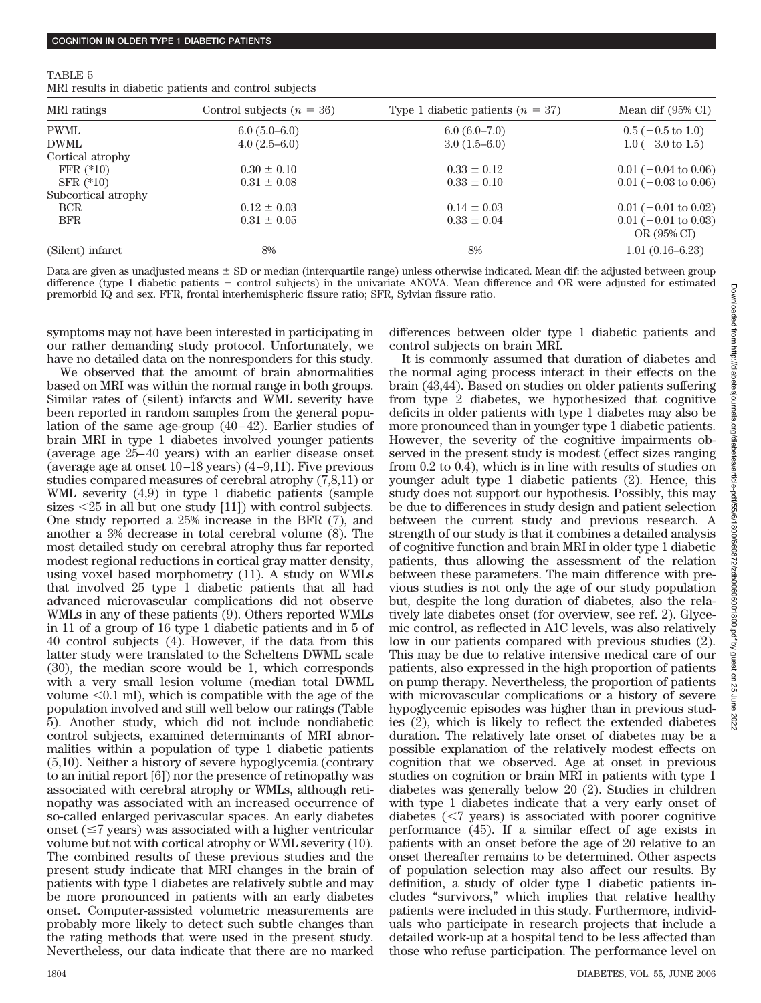| TABLE 5 |                                                       |  |
|---------|-------------------------------------------------------|--|
|         | MRI results in diabetic patients and control subjects |  |

| MRI ratings                            | Control subjects $(n = 36)$                  | Type 1 diabetic patients $(n = 37)$ | Mean dif $(95\% \text{ CI})$            |
|----------------------------------------|----------------------------------------------|-------------------------------------|-----------------------------------------|
| <b>PWML</b>                            | $6.0(5.0-6.0)$                               | $6.0(6.0-7.0)$                      | $0.5$ (-0.5 to 1.0)                     |
| <b>DWML</b>                            | $4.0(2.5-6.0)$                               | $3.0(1.5-6.0)$                      | $-1.0$ ( $-3.0$ to 1.5)                 |
| Cortical atrophy                       |                                              |                                     |                                         |
| FFR $(*10)$                            | $0.30 \pm 0.10$                              | $0.33 \pm 0.12$                     | $0.01$ (-0.04 to 0.06)                  |
| $SFR$ (*10)                            | $0.31 \pm 0.08$                              | $0.33 \pm 0.10$                     | $0.01$ (-0.03 to 0.06)                  |
| Subcortical atrophy                    |                                              |                                     |                                         |
| <b>BCR</b>                             | $0.12 \pm 0.03$                              | $0.14 \pm 0.03$                     | $0.01$ (-0.01 to 0.02)                  |
| <b>BFR</b>                             | $0.31 \pm 0.05$                              | $0.33 \pm 0.04$                     | $0.01$ (-0.01 to 0.03)<br>OR $(95\%$ CI |
| (Silent) infarct                       | 8%                                           | 8%                                  | $1.01(0.16-6.23)$                       |
| $\mathbf{r}$ . The set of $\mathbf{r}$ | $\cdots$<br>$\sim$ $\sim$ $\sim$<br>$\cdots$ | $-2$<br>.<br>$\cdots$               |                                         |

Data are given as unadjusted means  $\pm$  SD or median (interquartile range) unless otherwise indicated. Mean dif: the adjusted between group difference (type 1 diabetic patients control subjects) in the univariate ANOVA. Mean difference and OR were adjusted for estimated premorbid IQ and sex. FFR, frontal interhemispheric fissure ratio; SFR, Sylvian fissure ratio.

symptoms may not have been interested in participating in our rather demanding study protocol. Unfortunately, we have no detailed data on the nonresponders for this study.

We observed that the amount of brain abnormalities based on MRI was within the normal range in both groups. Similar rates of (silent) infarcts and WML severity have been reported in random samples from the general population of the same age-group  $(40-42)$ . Earlier studies of brain MRI in type 1 diabetes involved younger patients (average age 25– 40 years) with an earlier disease onset (average age at onset  $10-18$  years)  $(4-9,11)$ . Five previous studies compared measures of cerebral atrophy (7,8,11) or WML severity (4,9) in type 1 diabetic patients (sample sizes  $\leq$  25 in all but one study [11]) with control subjects. One study reported a 25% increase in the BFR (7), and another a 3% decrease in total cerebral volume (8). The most detailed study on cerebral atrophy thus far reported modest regional reductions in cortical gray matter density, using voxel based morphometry (11). A study on WMLs that involved 25 type 1 diabetic patients that all had advanced microvascular complications did not observe WMLs in any of these patients (9). Others reported WMLs in 11 of a group of 16 type 1 diabetic patients and in 5 of 40 control subjects (4). However, if the data from this latter study were translated to the Scheltens DWML scale (30), the median score would be 1, which corresponds with a very small lesion volume (median total DWML volume  $\leq 0.1$  ml), which is compatible with the age of the population involved and still well below our ratings (Table 5). Another study, which did not include nondiabetic control subjects, examined determinants of MRI abnormalities within a population of type 1 diabetic patients (5,10). Neither a history of severe hypoglycemia (contrary to an initial report [6]) nor the presence of retinopathy was associated with cerebral atrophy or WMLs, although retinopathy was associated with an increased occurrence of so-called enlarged perivascular spaces. An early diabetes onset  $(\leq 7$  years) was associated with a higher ventricular volume but not with cortical atrophy or WML severity (10). The combined results of these previous studies and the present study indicate that MRI changes in the brain of patients with type 1 diabetes are relatively subtle and may be more pronounced in patients with an early diabetes onset. Computer-assisted volumetric measurements are probably more likely to detect such subtle changes than the rating methods that were used in the present study. Nevertheless, our data indicate that there are no marked

differences between older type 1 diabetic patients and control subjects on brain MRI.

It is commonly assumed that duration of diabetes and the normal aging process interact in their effects on the brain (43,44). Based on studies on older patients suffering from type 2 diabetes, we hypothesized that cognitive deficits in older patients with type 1 diabetes may also be more pronounced than in younger type 1 diabetic patients. However, the severity of the cognitive impairments observed in the present study is modest (effect sizes ranging from 0.2 to 0.4), which is in line with results of studies on younger adult type 1 diabetic patients (2). Hence, this study does not support our hypothesis. Possibly, this may be due to differences in study design and patient selection between the current study and previous research. A strength of our study is that it combines a detailed analysis of cognitive function and brain MRI in older type 1 diabetic patients, thus allowing the assessment of the relation between these parameters. The main difference with previous studies is not only the age of our study population but, despite the long duration of diabetes, also the relatively late diabetes onset (for overview, see ref. 2). Glycemic control, as reflected in A1C levels, was also relatively low in our patients compared with previous studies (2). This may be due to relative intensive medical care of our patients, also expressed in the high proportion of patients on pump therapy. Nevertheless, the proportion of patients with microvascular complications or a history of severe hypoglycemic episodes was higher than in previous studies (2), which is likely to reflect the extended diabetes duration. The relatively late onset of diabetes may be a possible explanation of the relatively modest effects on cognition that we observed. Age at onset in previous studies on cognition or brain MRI in patients with type 1 diabetes was generally below 20 (2). Studies in children with type 1 diabetes indicate that a very early onset of diabetes  $(< 7 \text{ years})$  is associated with poorer cognitive performance (45). If a similar effect of age exists in patients with an onset before the age of 20 relative to an onset thereafter remains to be determined. Other aspects of population selection may also affect our results. By definition, a study of older type 1 diabetic patients includes "survivors," which implies that relative healthy patients were included in this study. Furthermore, individuals who participate in research projects that include a detailed work-up at a hospital tend to be less affected than those who refuse participation. The performance level on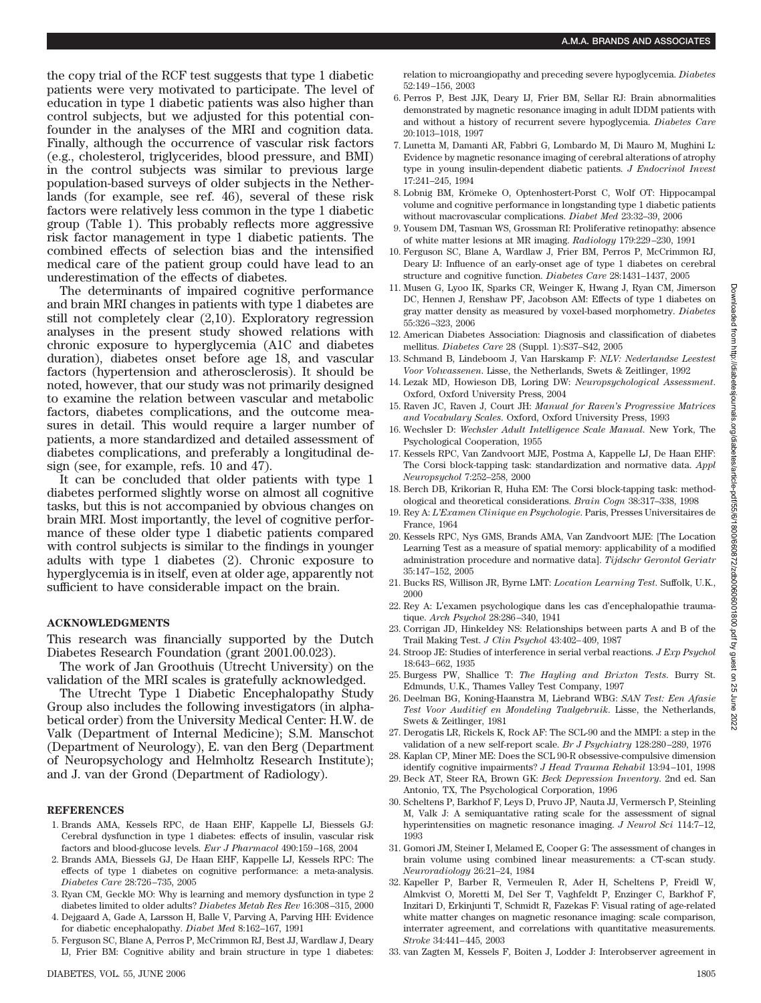the copy trial of the RCF test suggests that type 1 diabetic patients were very motivated to participate. The level of education in type 1 diabetic patients was also higher than control subjects, but we adjusted for this potential confounder in the analyses of the MRI and cognition data. Finally, although the occurrence of vascular risk factors (e.g., cholesterol, triglycerides, blood pressure, and BMI) in the control subjects was similar to previous large population-based surveys of older subjects in the Netherlands (for example, see ref. 46), several of these risk factors were relatively less common in the type 1 diabetic group (Table 1). This probably reflects more aggressive risk factor management in type 1 diabetic patients. The combined effects of selection bias and the intensified medical care of the patient group could have lead to an underestimation of the effects of diabetes.

The determinants of impaired cognitive performance and brain MRI changes in patients with type 1 diabetes are still not completely clear (2,10). Exploratory regression analyses in the present study showed relations with chronic exposure to hyperglycemia (A1C and diabetes duration), diabetes onset before age 18, and vascular factors (hypertension and atherosclerosis). It should be noted, however, that our study was not primarily designed to examine the relation between vascular and metabolic factors, diabetes complications, and the outcome measures in detail. This would require a larger number of patients, a more standardized and detailed assessment of diabetes complications, and preferably a longitudinal design (see, for example, refs. 10 and 47).

It can be concluded that older patients with type 1 diabetes performed slightly worse on almost all cognitive tasks, but this is not accompanied by obvious changes on brain MRI. Most importantly, the level of cognitive performance of these older type 1 diabetic patients compared with control subjects is similar to the findings in younger adults with type 1 diabetes (2). Chronic exposure to hyperglycemia is in itself, even at older age, apparently not sufficient to have considerable impact on the brain.

#### **ACKNOWLEDGMENTS**

This research was financially supported by the Dutch Diabetes Research Foundation (grant 2001.00.023).

The work of Jan Groothuis (Utrecht University) on the validation of the MRI scales is gratefully acknowledged.

The Utrecht Type 1 Diabetic Encephalopathy Study Group also includes the following investigators (in alphabetical order) from the University Medical Center: H.W. de Valk (Department of Internal Medicine); S.M. Manschot (Department of Neurology), E. van den Berg (Department of Neuropsychology and Helmholtz Research Institute); and J. van der Grond (Department of Radiology).

#### **REFERENCES**

- 1. Brands AMA, Kessels RPC, de Haan EHF, Kappelle LJ, Biessels GJ: Cerebral dysfunction in type 1 diabetes: effects of insulin, vascular risk factors and blood-glucose levels. *Eur J Pharmacol* 490:159 –168, 2004
- 2. Brands AMA, Biessels GJ, De Haan EHF, Kappelle LJ, Kessels RPC: The effects of type 1 diabetes on cognitive performance: a meta-analysis. *Diabetes Care* 28:726 –735, 2005
- 3. Ryan CM, Geckle MO: Why is learning and memory dysfunction in type 2 diabetes limited to older adults? *Diabetes Metab Res Rev* 16:308 –315, 2000
- 4. Dejgaard A, Gade A, Larsson H, Balle V, Parving A, Parving HH: Evidence for diabetic encephalopathy. *Diabet Med* 8:162–167, 1991
- 5. Ferguson SC, Blane A, Perros P, McCrimmon RJ, Best JJ, Wardlaw J, Deary IJ, Frier BM: Cognitive ability and brain structure in type 1 diabetes:
- 6. Perros P, Best JJK, Deary IJ, Frier BM, Sellar RJ: Brain abnormalities demonstrated by magnetic resonance imaging in adult IDDM patients with and without a history of recurrent severe hypoglycemia. *Diabetes Care* 20:1013–1018, 1997
- 7. Lunetta M, Damanti AR, Fabbri G, Lombardo M, Di Mauro M, Mughini L: Evidence by magnetic resonance imaging of cerebral alterations of atrophy type in young insulin-dependent diabetic patients. *J Endocrinol Invest* 17:241–245, 1994
- 8. Lobnig BM, Krömeke O, Optenhostert-Porst C, Wolf OT: Hippocampal volume and cognitive performance in longstanding type 1 diabetic patients without macrovascular complications. *Diabet Med* 23:32–39, 2006
- 9. Yousem DM, Tasman WS, Grossman RI: Proliferative retinopathy: absence of white matter lesions at MR imaging. *Radiology* 179:229 –230, 1991
- 10. Ferguson SC, Blane A, Wardlaw J, Frier BM, Perros P, McCrimmon RJ, Deary IJ: Influence of an early-onset age of type 1 diabetes on cerebral structure and cognitive function. *Diabetes Care* 28:1431–1437, 2005
- 11. Musen G, Lyoo IK, Sparks CR, Weinger K, Hwang J, Ryan CM, Jimerson DC, Hennen J, Renshaw PF, Jacobson AM: Effects of type 1 diabetes on gray matter density as measured by voxel-based morphometry. *Diabetes* 55:326 –323, 2006
- 12. American Diabetes Association: Diagnosis and classification of diabetes mellitus. *Diabetes Care* 28 (Suppl. 1):S37–S42, 2005
- 13. Schmand B, Lindeboom J, Van Harskamp F: *NLV: Nederlandse Leestest Voor Volwassenen*. Lisse, the Netherlands, Swets & Zeitlinger, 1992
- 14. Lezak MD, Howieson DB, Loring DW: *Neuropsychological Assessment*. Oxford, Oxford University Press, 2004
- 15. Raven JC, Raven J, Court JH: *Manual for Raven's Progressive Matrices and Vocabulary Scales*. Oxford, Oxford University Press, 1993
- 16. Wechsler D: *Wechsler Adult Intelligence Scale Manual*. New York, The Psychological Cooperation, 1955
- 17. Kessels RPC, Van Zandvoort MJE, Postma A, Kappelle LJ, De Haan EHF: The Corsi block-tapping task: standardization and normative data. *Appl Neuropsychol* 7:252–258, 2000
- 18. Berch DB, Krikorian R, Huha EM: The Corsi block-tapping task: methodological and theoretical considerations. *Brain Cogn* 38:317–338, 1998
- 19. Rey A: *L'Examen Clinique en Psychologie*. Paris, Presses Universitaires de France, 1964
- 20. Kessels RPC, Nys GMS, Brands AMA, Van Zandvoort MJE: [The Location Learning Test as a measure of spatial memory: applicability of a modified administration procedure and normative data]. *Tijdschr Gerontol Geriatr* 35:147–152, 2005
- 21. Bucks RS, Willison JR, Byrne LMT: *Location Learning Test*. Suffolk, U.K., 2000
- 22. Rey A: L'examen psychologique dans les cas d'encephalopathie traumatique. *Arch Psychol* 28:286 –340, 1941
- 23. Corrigan JD, Hinkeldey NS: Relationships between parts A and B of the Trail Making Test. *J Clin Psychol* 43:402– 409, 1987
- 24. Stroop JE: Studies of interference in serial verbal reactions. *J Exp Psychol* 18:643– 662, 1935
- 25. Burgess PW, Shallice T: *The Hayling and Brixton Tests*. Burry St. Edmunds, U.K., Thames Valley Test Company, 1997
- 26. Deelman BG, Koning-Haanstra M, Liebrand WBG: *SAN Test: Een Afasie Test Voor Auditief en Mondeling Taalgebruik*. Lisse, the Netherlands, Swets & Zeitlinger, 1981
- 27. Derogatis LR, Rickels K, Rock AF: The SCL-90 and the MMPI: a step in the validation of a new self-report scale. *Br J Psychiatry* 128:280 –289, 1976
- 28. Kaplan CP, Miner ME: Does the SCL 90-R obsessive-compulsive dimension identify cognitive impairments? *J Head Trauma Rehabil* 13:94 –101, 1998
- 29. Beck AT, Steer RA, Brown GK: *Beck Depression Inventory*. 2nd ed. San Antonio, TX, The Psychological Corporation, 1996
- 30. Scheltens P, Barkhof F, Leys D, Pruvo JP, Nauta JJ, Vermersch P, Steinling M, Valk J: A semiquantative rating scale for the assessment of signal hyperintensities on magnetic resonance imaging. *J Neurol Sci* 114:7–12, 1993
- 31. Gomori JM, Steiner I, Melamed E, Cooper G: The assessment of changes in brain volume using combined linear measurements: a CT-scan study. *Neuroradiology* 26:21–24, 1984
- 32. Kapeller P, Barber R, Vermeulen R, Ader H, Scheltens P, Freidl W, Almkvist O, Moretti M, Del Ser T, Vaghfeldt P, Enzinger C, Barkhof F, Inzitari D, Erkinjunti T, Schmidt R, Fazekas F: Visual rating of age-related white matter changes on magnetic resonance imaging: scale comparison, interrater agreement, and correlations with quantitative measurements. *Stroke* 34:441– 445, 2003
- 33. van Zagten M, Kessels F, Boiten J, Lodder J: Interobserver agreement in

25 June 2022